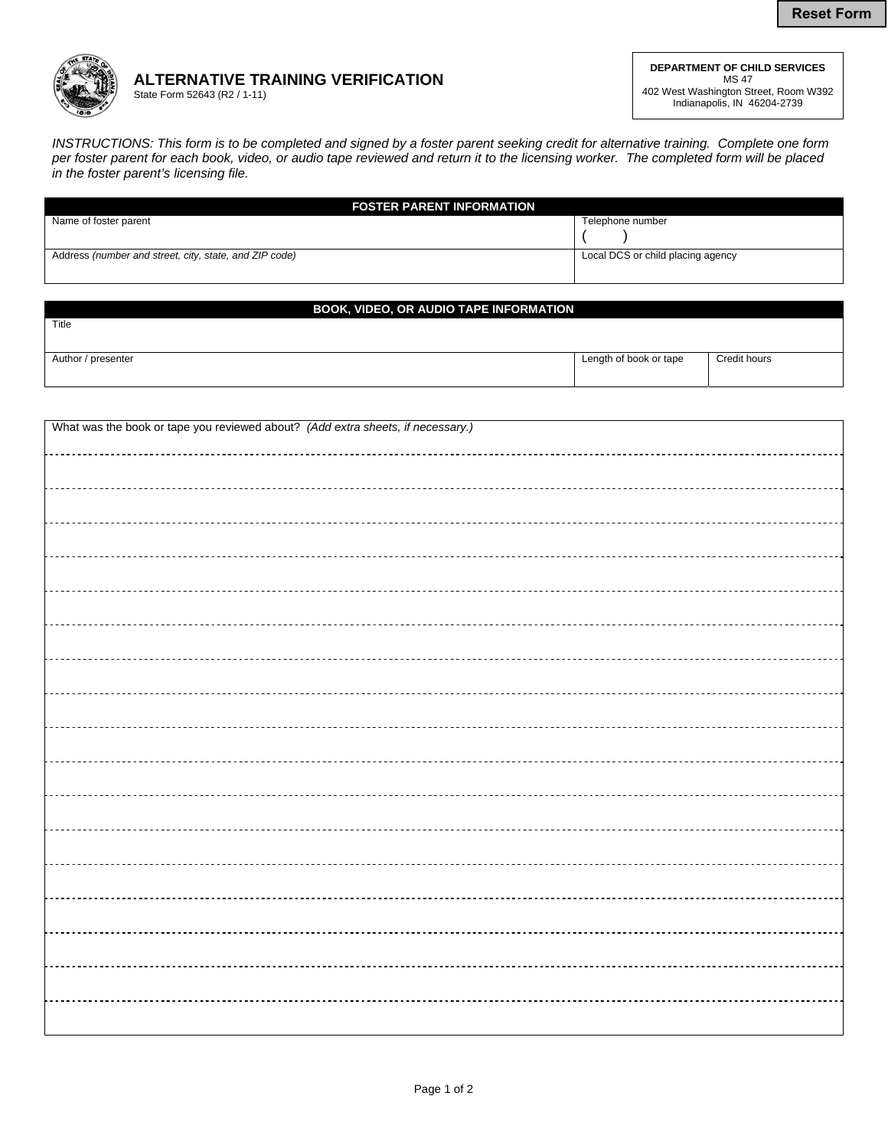

## **ALTERNATIVE TRAINING VERIFICATION**  State Form 52643 (R2 / 1-11)

**DEPARTMENT OF CHILD SERVICES**  MS 47 402 West Washington Street, Room W392 Indianapolis, IN 46204-2739

*INSTRUCTIONS: This form is to be completed and signed by a foster parent seeking credit for alternative training. Complete one form per foster parent for each book, video, or audio tape reviewed and return it to the licensing worker. The completed form will be placed in the foster parent's licensing file.*

| <b>FOSTER PARENT INFORMATION</b>                       |                                   |
|--------------------------------------------------------|-----------------------------------|
| Name of foster parent                                  | Telephone number                  |
|                                                        |                                   |
| Address (number and street, city, state, and ZIP code) | Local DCS or child placing agency |
|                                                        |                                   |

## **BOOK, VIDEO, OR AUDIO TAPE INFORMATION**

| Author / presenter |
|--------------------|

Title

| Length of book or tape | Credit hours |
|------------------------|--------------|
|                        |              |

| What was the book or tape you reviewed about? (Add extra sheets, if necessary.) |  |
|---------------------------------------------------------------------------------|--|
|                                                                                 |  |
|                                                                                 |  |
|                                                                                 |  |
|                                                                                 |  |
|                                                                                 |  |
|                                                                                 |  |
|                                                                                 |  |
|                                                                                 |  |
|                                                                                 |  |
|                                                                                 |  |
|                                                                                 |  |
|                                                                                 |  |
|                                                                                 |  |
|                                                                                 |  |
|                                                                                 |  |
|                                                                                 |  |
|                                                                                 |  |
|                                                                                 |  |
|                                                                                 |  |
|                                                                                 |  |
|                                                                                 |  |
|                                                                                 |  |
|                                                                                 |  |
|                                                                                 |  |
|                                                                                 |  |
|                                                                                 |  |
|                                                                                 |  |
|                                                                                 |  |
|                                                                                 |  |
|                                                                                 |  |
|                                                                                 |  |
|                                                                                 |  |
|                                                                                 |  |
|                                                                                 |  |
|                                                                                 |  |
|                                                                                 |  |